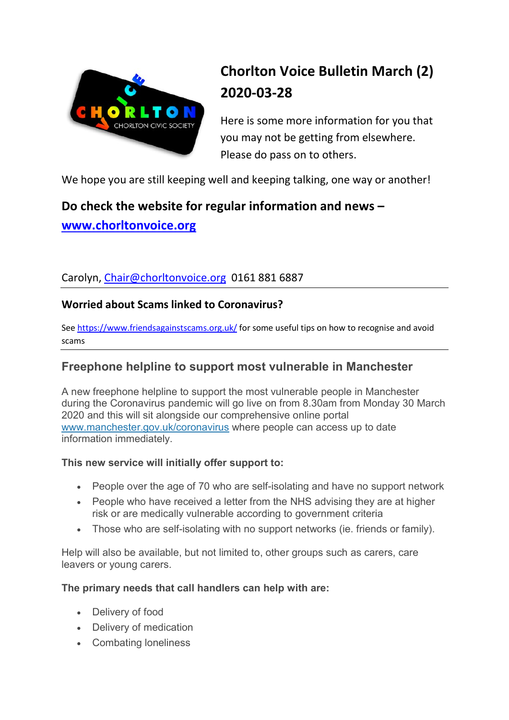

# Chorlton Voice Bulletin March (2) 2020-03-28

Here is some more information for you that you may not be getting from elsewhere. Please do pass on to others.

We hope you are still keeping well and keeping talking, one way or another!

## Do check the website for regular information and news – www.chorltonvoice.org

### Carolyn, Chair@chorltonvoice.org 0161 881 6887

### Worried about Scams linked to Coronavirus?

See https://www.friendsagainstscams.org.uk/ for some useful tips on how to recognise and avoid scams

### Freephone helpline to support most vulnerable in Manchester

A new freephone helpline to support the most vulnerable people in Manchester during the Coronavirus pandemic will go live on from 8.30am from Monday 30 March 2020 and this will sit alongside our comprehensive online portal www.manchester.gov.uk/coronavirus where people can access up to date information immediately.

### This new service will initially offer support to:

- People over the age of 70 who are self-isolating and have no support network
- People who have received a letter from the NHS advising they are at higher risk or are medically vulnerable according to government criteria
- Those who are self-isolating with no support networks (ie. friends or family).

Help will also be available, but not limited to, other groups such as carers, care leavers or young carers.

### The primary needs that call handlers can help with are:

- Delivery of food
- Delivery of medication
- Combating loneliness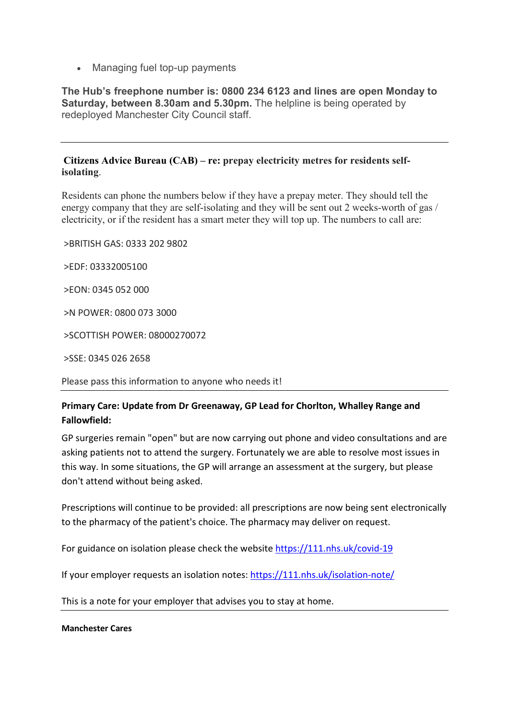• Managing fuel top-up payments

The Hub's freephone number is: 0800 234 6123 and lines are open Monday to Saturday, between 8.30am and 5.30pm. The helpline is being operated by redeployed Manchester City Council staff.

#### Citizens Advice Bureau (CAB) – re: prepay electricity metres for residents selfisolating.

Residents can phone the numbers below if they have a prepay meter. They should tell the energy company that they are self-isolating and they will be sent out 2 weeks-worth of gas / electricity, or if the resident has a smart meter they will top up. The numbers to call are:

>BRITISH GAS: 0333 202 9802

>EDF: 03332005100

>EON: 0345 052 000

>N POWER: 0800 073 3000

>SCOTTISH POWER: 08000270072

>SSE: 0345 026 2658

Please pass this information to anyone who needs it!

#### Primary Care: Update from Dr Greenaway, GP Lead for Chorlton, Whalley Range and Fallowfield:

GP surgeries remain "open" but are now carrying out phone and video consultations and are asking patients not to attend the surgery. Fortunately we are able to resolve most issues in this way. In some situations, the GP will arrange an assessment at the surgery, but please don't attend without being asked.

Prescriptions will continue to be provided: all prescriptions are now being sent electronically to the pharmacy of the patient's choice. The pharmacy may deliver on request.

For guidance on isolation please check the website https://111.nhs.uk/covid-19

If your employer requests an isolation notes: https://111.nhs.uk/isolation-note/

This is a note for your employer that advises you to stay at home.

Manchester Cares